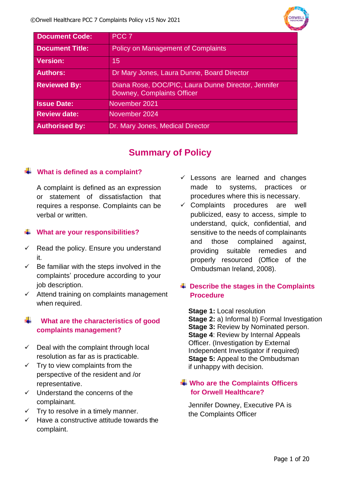| <b>Document Code:</b>  | PCC <sub>7</sub>                                                                  |
|------------------------|-----------------------------------------------------------------------------------|
| <b>Document Title:</b> | <b>Policy on Management of Complaints</b>                                         |
| <b>Version:</b>        | 15                                                                                |
| <b>Authors:</b>        | Dr Mary Jones, Laura Dunne, Board Director                                        |
| <b>Reviewed By:</b>    | Diana Rose, DOC/PIC, Laura Dunne Director, Jennifer<br>Downey, Complaints Officer |
| <b>Issue Date:</b>     | November 2021                                                                     |
| <b>Review date:</b>    | November 2024                                                                     |
| <b>Authorised by:</b>  | Dr. Mary Jones, Medical Director                                                  |

### **Summary of Policy**

### **What is defined as a complaint?**

A complaint is defined as an expression or statement of dissatisfaction that requires a response. Complaints can be verbal or written.

### **What are your responsibilities?**

- $\checkmark$  Read the policy. Ensure you understand it.
- $\checkmark$  Be familiar with the steps involved in the complaints' procedure according to your job description.
- $\checkmark$  Attend training on complaints management when required.

### **What are the characteristics of good complaints management?**

- $\checkmark$  Deal with the complaint through local resolution as far as is practicable.
- $\checkmark$  Try to view complaints from the perspective of the resident and /or representative.
- ✓ Understand the concerns of the complainant.
- $\checkmark$  Try to resolve in a timely manner.
- ✓ Have a constructive attitude towards the complaint.
- $\checkmark$  Lessons are learned and changes made to systems, practices or procedures where this is necessary.
- $\checkmark$  Complaints procedures are well publicized, easy to access, simple to understand, quick, confidential, and sensitive to the needs of complainants and those complained against, providing suitable remedies and properly resourced (Office of the Ombudsman Ireland, 2008).

### **Describe the stages in the Complaints Procedure**

**Stage 1:** Local resolution **Stage 2:** a) Informal b) Formal Investigation **Stage 3: Review by Nominated person. Stage 4**: Review by Internal Appeals Officer. (Investigation by External Independent Investigator if required) **Stage 5:** Appeal to the Ombudsman if unhappy with decision.

### **Who are the Complaints Officers for Orwell Healthcare?**

Jennifer Downey, Executive PA is the Complaints Officer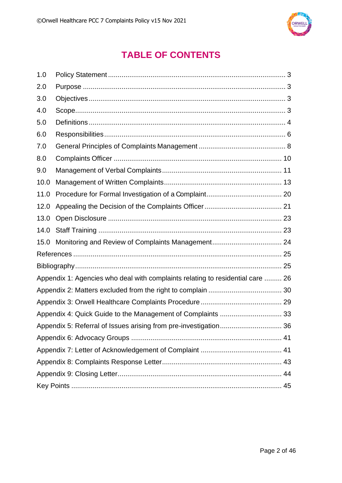

### **TABLE OF CONTENTS**

| 1.0                                                              |                                                                                |  |  |  |
|------------------------------------------------------------------|--------------------------------------------------------------------------------|--|--|--|
| 2.0                                                              |                                                                                |  |  |  |
| 3.0                                                              |                                                                                |  |  |  |
| 4.0                                                              |                                                                                |  |  |  |
| 5.0                                                              |                                                                                |  |  |  |
| 6.0                                                              |                                                                                |  |  |  |
| 7.0                                                              |                                                                                |  |  |  |
| 8.0                                                              |                                                                                |  |  |  |
| 9.0                                                              |                                                                                |  |  |  |
| 10.0                                                             |                                                                                |  |  |  |
| 11.0                                                             |                                                                                |  |  |  |
| 12.0                                                             |                                                                                |  |  |  |
| 13.0                                                             |                                                                                |  |  |  |
| 14.0                                                             |                                                                                |  |  |  |
| 15.0                                                             |                                                                                |  |  |  |
|                                                                  |                                                                                |  |  |  |
|                                                                  |                                                                                |  |  |  |
|                                                                  | Appendix 1: Agencies who deal with complaints relating to residential care  26 |  |  |  |
|                                                                  |                                                                                |  |  |  |
|                                                                  |                                                                                |  |  |  |
|                                                                  |                                                                                |  |  |  |
| Appendix 5: Referral of Issues arising from pre-investigation 36 |                                                                                |  |  |  |
|                                                                  |                                                                                |  |  |  |
|                                                                  |                                                                                |  |  |  |
|                                                                  |                                                                                |  |  |  |
|                                                                  |                                                                                |  |  |  |
|                                                                  |                                                                                |  |  |  |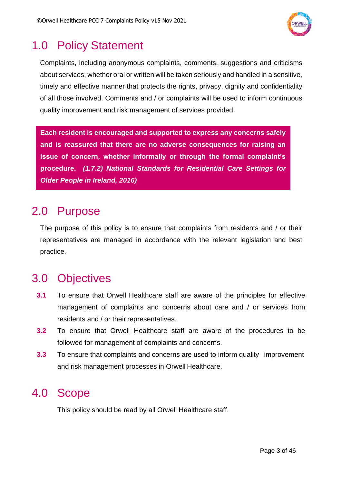

## <span id="page-2-0"></span>1.0 Policy Statement

Complaints, including anonymous complaints, comments, suggestions and criticisms about services, whether oral or written will be taken seriously and handled in a sensitive, timely and effective manner that protects the rights, privacy, dignity and confidentiality of all those involved. Comments and / or complaints will be used to inform continuous quality improvement and risk management of services provided.

**Each resident is encouraged and supported to express any concerns safely and is reassured that there are no adverse consequences for raising an issue of concern, whether informally or through the formal complaint's procedure.** *(1.7.2) National Standards for Residential Care Settings for Older People in Ireland, 2016)*

## <span id="page-2-1"></span>2.0 Purpose

The purpose of this policy is to ensure that complaints from residents and / or their representatives are managed in accordance with the relevant legislation and best practice.

# <span id="page-2-2"></span>3.0 Objectives

- **3.1** To ensure that Orwell Healthcare staff are aware of the principles for effective management of complaints and concerns about care and / or services from residents and / or their representatives.
- **3.2** To ensure that Orwell Healthcare staff are aware of the procedures to be followed for management of complaints and concerns.
- **3.3** To ensure that complaints and concerns are used to inform quality improvement and risk management processes in Orwell Healthcare.

# <span id="page-2-3"></span>4.0 Scope

This policy should be read by all Orwell Healthcare staff.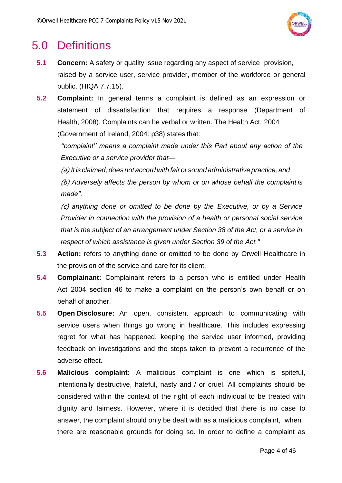

## <span id="page-3-0"></span>5.0 Definitions

- **5.1 Concern:** A safety or quality issue regarding any aspect of service provision, raised by a service user, service provider, member of the workforce or general public. (HIQA 7.7.15).
- **5.2 Complaint:** In general terms a complaint is defined as an expression or statement of dissatisfaction that requires a response (Department of Health, 2008). Complaints can be verbal or written. The Health Act, 2004 (Government of Ireland, 2004: p38) states that:

*''complaint'' means a complaint made under this Part about any action of the Executive or a service provider that—*

(a) *It is claimed, does not accord with fair or sound administrative practice, and* (b) *Adversely affects the person by whom or on whose behalf the complaint is* 

*made".*

(c) *anything done or omitted to be done by the Executive, or by a Service Provider in connection with the provision of a health or personal social service that is the subject of an arrangement under Section 38 of the Act, or a service in respect of which assistance is given under Section 39 of the Act."*

- **5.3 Action:** refers to anything done or omitted to be done by Orwell Healthcare in the provision of the service and care for its client.
- **5.4 Complainant:** Complainant refers to a person who is entitled under Health Act 2004 section 46 to make a complaint on the person's own behalf or on behalf of another.
- **5.5 Open Disclosure:** An open, consistent approach to communicating with service users when things go wrong in healthcare. This includes expressing regret for what has happened, keeping the service user informed, providing feedback on investigations and the steps taken to prevent a recurrence of the adverse effect.
- **5.6 Malicious complaint:** A malicious complaint is one which is spiteful, intentionally destructive, hateful, nasty and / or cruel. All complaints should be considered within the context of the right of each individual to be treated with dignity and fairness. However, where it is decided that there is no case to answer, the complaint should only be dealt with as a malicious complaint, when there are reasonable grounds for doing so. In order to define a complaint as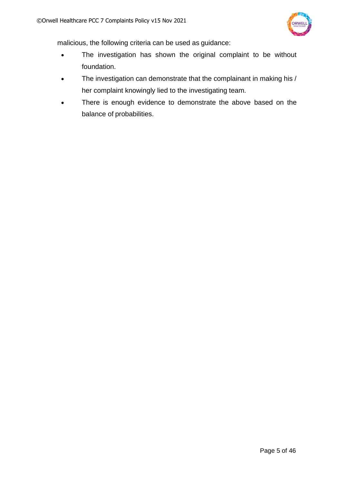

malicious, the following criteria can be used as guidance:

- The investigation has shown the original complaint to be without foundation.
- The investigation can demonstrate that the complainant in making his / her complaint knowingly lied to the investigating team.
- There is enough evidence to demonstrate the above based on the balance of probabilities.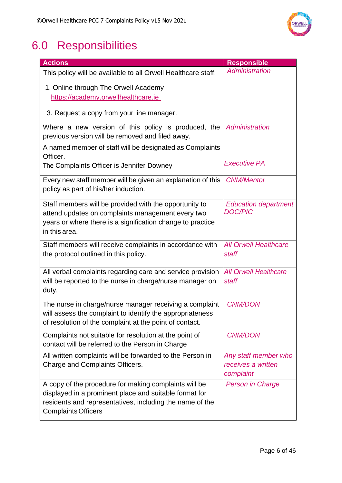

# <span id="page-5-0"></span>6.0 Responsibilities

| <b>Actions</b>                                                                                                     | <b>Responsible</b>           |
|--------------------------------------------------------------------------------------------------------------------|------------------------------|
| This policy will be available to all Orwell Healthcare staff:                                                      | Administration               |
| 1. Online through The Orwell Academy                                                                               |                              |
| https://academy.orwellhealthcare.ie                                                                                |                              |
| 3. Request a copy from your line manager.                                                                          |                              |
| Where a new version of this policy is produced, the                                                                | Administration               |
| previous version will be removed and filed away.                                                                   |                              |
| A named member of staff will be designated as Complaints<br>Officer.                                               |                              |
| The Complaints Officer is Jennifer Downey                                                                          | Executive PA                 |
| Every new staff member will be given an explanation of this                                                        | <b>CNM/Mentor</b>            |
| policy as part of his/her induction.                                                                               |                              |
| Staff members will be provided with the opportunity to                                                             | <b>Education department</b>  |
| attend updates on complaints management every two                                                                  | <b>DOC/PIC</b>               |
| years or where there is a signification change to practice                                                         |                              |
| in this area.                                                                                                      |                              |
| Staff members will receive complaints in accordance with                                                           | <b>All Orwell Healthcare</b> |
| the protocol outlined in this policy.                                                                              | staff                        |
| All verbal complaints regarding care and service provision                                                         | <b>All Orwell Healthcare</b> |
| will be reported to the nurse in charge/nurse manager on                                                           | staff                        |
| duty.                                                                                                              |                              |
| The nurse in charge/nurse manager receiving a complaint                                                            | <b>CNM/DON</b>               |
| will assess the complaint to identify the appropriateness                                                          |                              |
| of resolution of the complaint at the point of contact.                                                            |                              |
| Complaints not suitable for resolution at the point of                                                             | <b>CNM/DON</b>               |
| contact will be referred to the Person in Charge                                                                   |                              |
| All written complaints will be forwarded to the Person in                                                          | Any staff member who         |
| Charge and Complaints Officers.                                                                                    | receives a written           |
|                                                                                                                    | complaint                    |
| A copy of the procedure for making complaints will be                                                              | <b>Person in Charge</b>      |
| displayed in a prominent place and suitable format for<br>residents and representatives, including the name of the |                              |
| <b>Complaints Officers</b>                                                                                         |                              |
|                                                                                                                    |                              |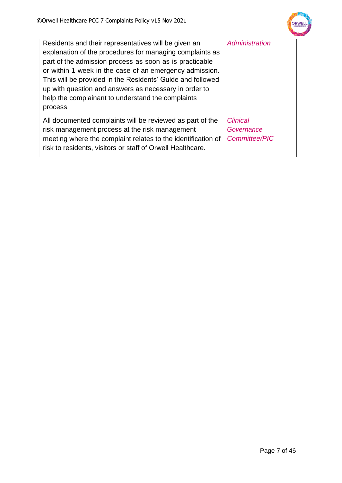

| Residents and their representatives will be given an<br>explanation of the procedures for managing complaints as<br>part of the admission process as soon as is practicable<br>or within 1 week in the case of an emergency admission.<br>This will be provided in the Residents' Guide and followed<br>up with question and answers as necessary in order to<br>help the complainant to understand the complaints<br>process. | Administration                                        |
|--------------------------------------------------------------------------------------------------------------------------------------------------------------------------------------------------------------------------------------------------------------------------------------------------------------------------------------------------------------------------------------------------------------------------------|-------------------------------------------------------|
| All documented complaints will be reviewed as part of the<br>risk management process at the risk management<br>meeting where the complaint relates to the identification of<br>risk to residents, visitors or staff of Orwell Healthcare.                                                                                                                                                                                      | <b>Clinical</b><br>Governance<br><b>Committee/PIC</b> |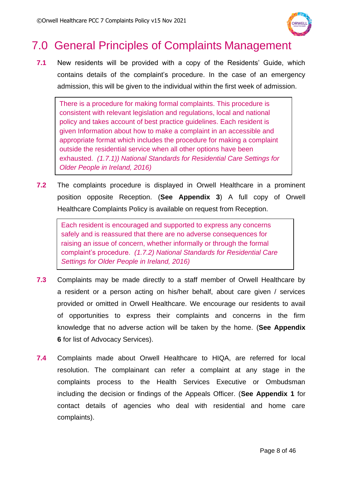

# <span id="page-7-0"></span>7.0 General Principles of Complaints Management

**7.1** New residents will be provided with a copy of the Residents' Guide, which contains details of the complaint's procedure. In the case of an emergency admission, this will be given to the individual within the first week of admission.

There is a procedure for making formal complaints. This procedure is consistent with relevant legislation and regulations, local and national policy and takes account of best practice guidelines. Each resident is given Information about how to make a complaint in an accessible and appropriate format which includes the procedure for making a complaint outside the residential service when all other options have been exhausted. *(1.7.1)) National Standards for Residential Care Settings for Older People in Ireland, 2016)*

**7.2** The complaints procedure is displayed in Orwell Healthcare in a prominent position opposite Reception. (**See Appendix 3**) A full copy of Orwell Healthcare Complaints Policy is available on request from Reception.

Each resident is encouraged and supported to express any concerns safely and is reassured that there are no adverse consequences for raising an issue of concern, whether informally or through the formal complaint's procedure. *(1.7.2) National Standards for Residential Care Settings for Older People in Ireland, 2016)*

- **7.3** Complaints may be made directly to a staff member of Orwell Healthcare by a resident or a person acting on his/her behalf, about care given / services provided or omitted in Orwell Healthcare. We encourage our residents to avail of opportunities to express their complaints and concerns in the firm knowledge that no adverse action will be taken by the home. (**See Appendix 6** for list of Advocacy Services). *National Standards* for Residential Care Settings for Older People in Ireland, i oviut
- **7.4** Complaints made about Orwell Healthcare to HIQA, are referred for local resolution. The complainant can refer a complaint at any stage in the complaints process to the Health Services Executive or Ombudsman including the decision or findings of the Appeals Officer. (**See Appendix 1** for contact details of agencies who deal with residential and home care complaints).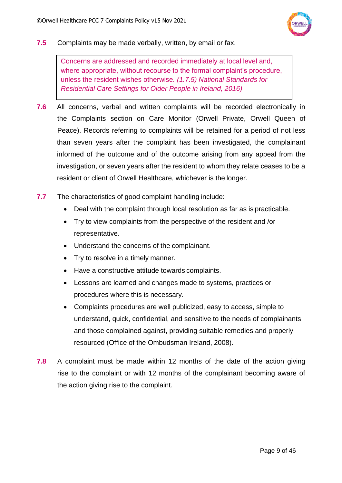

**7.5** Complaints may be made verbally, written, by email or fax.

Concerns are addressed and recorded immediately at local level and, where appropriate, without recourse to the formal complaint's procedure, unless the resident wishes otherwise*. (1.7.5) National Standards for Residential Care Settings for Older People in Ireland, 2016)*

- **7.6** All concerns, verbal and written complaints will be recorded electronically in the Complaints section on Care Monitor (Orwell Private, Orwell Queen of Peace). Records referring to complaints will be retained for a period of not less than seven years after the complaint has been investigated, the complainant informed of the outcome and of the outcome arising from any appeal from the investigation, or seven years after the resident to whom they relate ceases to be a resident or client of Orwell Healthcare, whichever is the longer.
- **7.7** The characteristics of good complaint handling include:
	- Deal with the complaint through local resolution as far as is practicable.
	- Try to view complaints from the perspective of the resident and /or representative.
	- Understand the concerns of the complainant.
	- Try to resolve in a timely manner.
	- Have a constructive attitude towards complaints.
	- Lessons are learned and changes made to systems, practices or procedures where this is necessary.
	- Complaints procedures are well publicized, easy to access, simple to understand, quick, confidential, and sensitive to the needs of complainants and those complained against, providing suitable remedies and properly resourced (Office of the Ombudsman Ireland, 2008).
- **7.8** A complaint must be made within 12 months of the date of the action giving rise to the complaint or with 12 months of the complainant becoming aware of the action giving rise to the complaint.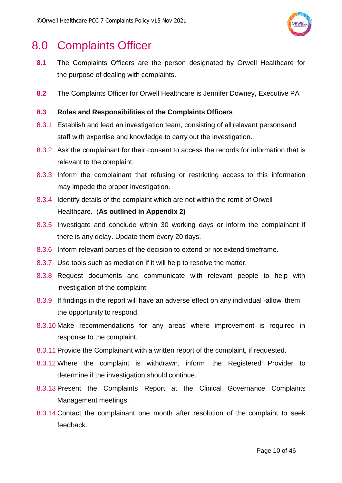

## <span id="page-9-0"></span>8.0 Complaints Officer

- **8.1** The Complaints Officers are the person designated by Orwell Healthcare for the purpose of dealing with complaints.
- **8.2** The Complaints Officer for Orwell Healthcare is Jennifer Downey, Executive PA

### **8.3 Roles and Responsibilities of the Complaints Officers**

- 8.3.1 Establish and lead an investigation team, consisting of all relevant personsand staff with expertise and knowledge to carry out the investigation.
- 8.3.2 Ask the complainant for their consent to access the records for information that is relevant to the complaint.
- 8.3.3 Inform the complainant that refusing or restricting access to this information may impede the proper investigation.
- 8.3.4 Identify details of the complaint which are not within the remit of Orwell Healthcare. (**As outlined in Appendix 2)**
- 8.3.5 Investigate and conclude within 30 working days or inform the complainant if there is any delay. Update them every 20 days.
- 8.3.6 Inform relevant parties of the decision to extend or not extend timeframe.
- 8.3.7 Use tools such as mediation if it will help to resolve the matter.
- 8.3.8 Request documents and communicate with relevant people to help with investigation of the complaint.
- 8.3.9 If findings in the report will have an adverse effect on any individual -allow them the opportunity to respond.
- 8.3.10 Make recommendations for any areas where improvement is required in response to the complaint.
- 8.3.11 Provide the Complainant with a written report of the complaint, if requested.
- 8.3.12 Where the complaint is withdrawn, inform the Registered Provider to determine if the investigation should continue.
- 8.3.13 Present the Complaints Report at the Clinical Governance Complaints Management meetings.
- 8.3.14 Contact the complainant one month after resolution of the complaint to seek feedback.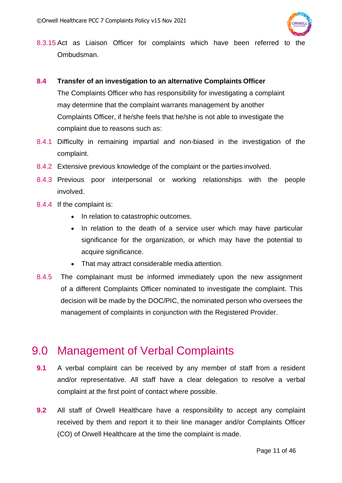

8.3.15 Act as Liaison Officer for complaints which have been referred to the Ombudsman.

### **8.4 Transfer of an investigation to an alternative Complaints Officer**

The Complaints Officer who has responsibility for investigating a complaint may determine that the complaint warrants management by another Complaints Officer, if he/she feels that he/she is not able to investigate the complaint due to reasons such as:

- 8.4.1 Difficulty in remaining impartial and non-biased in the investigation of the complaint.
- 8.4.2 Extensive previous knowledge of the complaint or the parties involved.
- 8.4.3 Previous poor interpersonal or working relationships with the people involved.
- 8.4.4 If the complaint is:
	- In relation to catastrophic outcomes.
	- In relation to the death of a service user which may have particular significance for the organization, or which may have the potential to acquire significance.
	- That may attract considerable media attention.
- 8.4.5 The complainant must be informed immediately upon the new assignment of a different Complaints Officer nominated to investigate the complaint. This decision will be made by the DOC/PIC, the nominated person who oversees the management of complaints in conjunction with the Registered Provider.

### <span id="page-10-0"></span>9.0 Management of Verbal Complaints

- **9.1** A verbal complaint can be received by any member of staff from a resident and/or representative. All staff have a clear delegation to resolve a verbal complaint at the first point of contact where possible.
- **9.2** All staff of Orwell Healthcare have a responsibility to accept any complaint received by them and report it to their line manager and/or Complaints Officer (CO) of Orwell Healthcare at the time the complaint is made.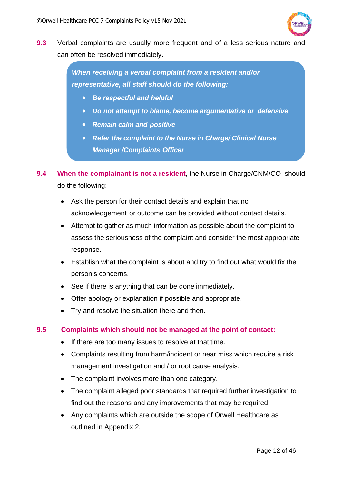

**9.3** Verbal complaints are usually more frequent and of a less serious nature and can often be resolved immediately.

> *When receiving a verbal complaint from a resident and/or representative, all staff should do the following:*

- *Be respectful and helpful*
- *Do not attempt to blame, become argumentative or defensive*
- *Remain calm and positive*
- *Refer the complaint to the Nurse in Charge/ Clinical Nurse Manager /Complaints Officer*

• *Verbal complaints are acknowledged immediately (by staff* 

- **9.4 When the complainant is not a resident**, the Nurse in Charge/CNM/CO should do the following:
	- Ask the person for their contact details and explain that no acknowledgement or outcome can be provided without contact details.
	- Attempt to gather as much information as possible about the complaint to assess the seriousness of the complaint and consider the most appropriate response.
	- Establish what the complaint is about and try to find out what would fix the person's concerns.
	- See if there is anything that can be done immediately.
	- Offer apology or explanation if possible and appropriate.
	- Try and resolve the situation there and then.

### **9.5 Complaints which should not be managed at the point of contact:**

- If there are too many issues to resolve at that time.
- Complaints resulting from harm/incident or near miss which require a risk management investigation and / or root cause analysis.
- The complaint involves more than one category.
- The complaint alleged poor standards that required further investigation to find out the reasons and any improvements that may be required.
- Any complaints which are outside the scope of Orwell Healthcare as outlined in Appendix 2.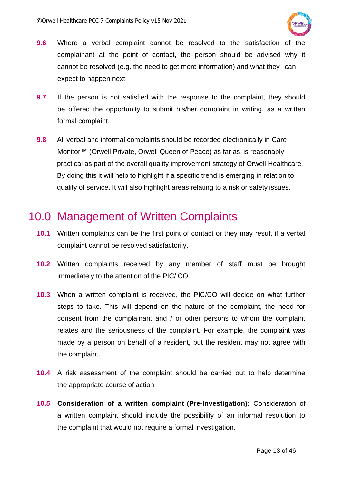

- **9.6** Where a verbal complaint cannot be resolved to the satisfaction of the complainant at the point of contact, the person should be advised why it cannot be resolved (e.g. the need to get more information) and what they can expect to happen next.
- **9.7** If the person is not satisfied with the response to the complaint, they should be offered the opportunity to submit his/her complaint in writing, as a written formal complaint.
- **9.8** All verbal and informal complaints should be recorded electronically in Care Monitor™ (Orwell Private, Orwell Queen of Peace) as far as is reasonably practical as part of the overall quality improvement strategy of Orwell Healthcare. By doing this it will help to highlight if a specific trend is emerging in relation to quality of service. It will also highlight areas relating to a risk or safety issues.

## <span id="page-12-0"></span>10.0 Management of Written Complaints

- **10.1** Written complaints can be the first point of contact or they may result if a verbal complaint cannot be resolved satisfactorily.
- **10.2** Written complaints received by any member of staff must be brought immediately to the attention of the PIC/ CO.
- **10.3** When a written complaint is received, the PIC/CO will decide on what further steps to take. This will depend on the nature of the complaint, the need for consent from the complainant and / or other persons to whom the complaint relates and the seriousness of the complaint. For example, the complaint was made by a person on behalf of a resident, but the resident may not agree with the complaint.
- **10.4** A risk assessment of the complaint should be carried out to help determine the appropriate course of action.
- **10.5 Consideration of a written complaint (Pre-Investigation):** Consideration of a written complaint should include the possibility of an informal resolution to the complaint that would not require a formal investigation.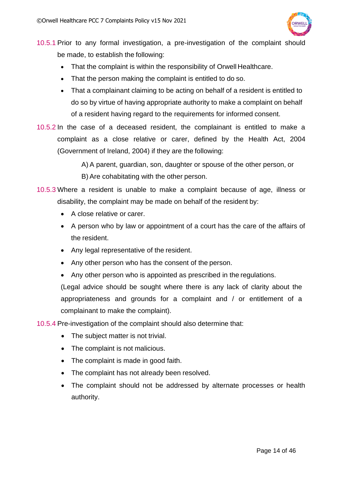

10.5.1 Prior to any formal investigation, a pre-investigation of the complaint should be made, to establish the following:

- That the complaint is within the responsibility of Orwell Healthcare.
- That the person making the complaint is entitled to do so.
- That a complainant claiming to be acting on behalf of a resident is entitled to do so by virtue of having appropriate authority to make a complaint on behalf of a resident having regard to the requirements for informed consent.
- 10.5.2 In the case of a deceased resident, the complainant is entitled to make a complaint as a close relative or carer, defined by the Health Act, 2004 (Government of Ireland, 2004) if they are the following:

A) A parent, guardian, son, daughter or spouse of the other person, or

- B) Are cohabitating with the other person.
- 10.5.3 Where a resident is unable to make a complaint because of age, illness or disability, the complaint may be made on behalf of the resident by:
	- A close relative or carer.
	- A person who by law or appointment of a court has the care of the affairs of the resident.
	- Any legal representative of the resident.
	- Any other person who has the consent of the person.
	- Any other person who is appointed as prescribed in the regulations.

(Legal advice should be sought where there is any lack of clarity about the appropriateness and grounds for a complaint and / or entitlement of a complainant to make the complaint).

10.5.4 Pre-investigation of the complaint should also determine that:

- The subject matter is not trivial.
- The complaint is not malicious.
- The complaint is made in good faith.
- The complaint has not already been resolved.
- The complaint should not be addressed by alternate processes or health authority.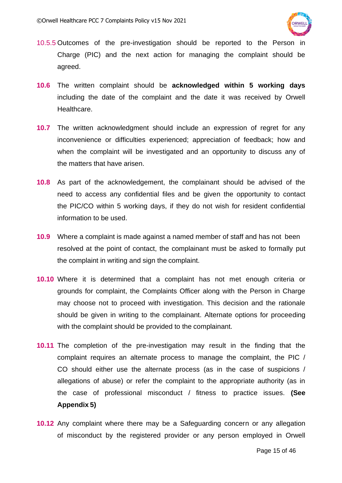

- 10.5.5 Outcomes of the pre-investigation should be reported to the Person in Charge (PIC) and the next action for managing the complaint should be agreed.
- **10.6** The written complaint should be **acknowledged within 5 working days** including the date of the complaint and the date it was received by Orwell Healthcare.
- **10.7** The written acknowledgment should include an expression of regret for any inconvenience or difficulties experienced; appreciation of feedback; how and when the complaint will be investigated and an opportunity to discuss any of the matters that have arisen.
- **10.8** As part of the acknowledgement, the complainant should be advised of the need to access any confidential files and be given the opportunity to contact the PIC/CO within 5 working days, if they do not wish for resident confidential information to be used.
- **10.9** Where a complaint is made against a named member of staff and has not been resolved at the point of contact, the complainant must be asked to formally put the complaint in writing and sign the complaint.
- **10.10** Where it is determined that a complaint has not met enough criteria or grounds for complaint, the Complaints Officer along with the Person in Charge may choose not to proceed with investigation. This decision and the rationale should be given in writing to the complainant. Alternate options for proceeding with the complaint should be provided to the complainant.
- **10.11** The completion of the pre-investigation may result in the finding that the complaint requires an alternate process to manage the complaint, the PIC / CO should either use the alternate process (as in the case of suspicions / allegations of abuse) or refer the complaint to the appropriate authority (as in the case of professional misconduct / fitness to practice issues. **(See Appendix 5)**
- **10.12** Any complaint where there may be a Safeguarding concern or any allegation of misconduct by the registered provider or any person employed in Orwell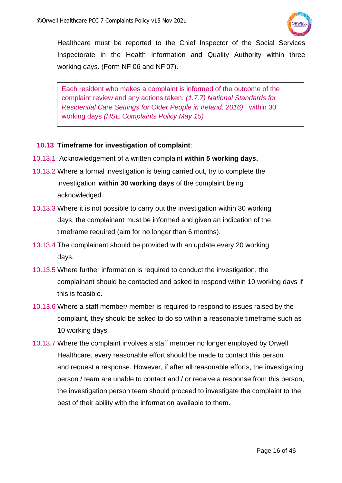

Healthcare must be reported to the Chief Inspector of the Social Services Inspectorate in the Health Information and Quality Authority within three working days. (Form NF 06 and NF 07).

Each resident who makes a complaint is informed of the outcome of the complaint review and any actions taken. *(1.7.7) National Standards for Residential Care Settings for Older People in Ireland, 2016)* within 30 working days *(HSE Complaints Policy May 15)*

### **10.13 Timeframe for investigation of complaint**:

- 10.13.1 Acknowledgement of a written complaint **within 5 working days.**
- 10.13.2 Where a formal investigation is being carried out, try to complete the investigation **within 30 working days** of the complaint being acknowledged.
- 10.13.3 Where it is not possible to carry out the investigation within 30 working days, the complainant must be informed and given an indication of the timeframe required (aim for no longer than 6 months).
- 10.13.4 The complainant should be provided with an update every 20 working days.
- 10.13.5 Where further information is required to conduct the investigation, the complainant should be contacted and asked to respond within 10 working days if this is feasible.
- 10.13.6 Where a staff member/ member is required to respond to issues raised by the complaint, they should be asked to do so within a reasonable timeframe such as 10 working days.
- 10.13.7 Where the complaint involves a staff member no longer employed by Orwell Healthcare, every reasonable effort should be made to contact this person and request a response. However, if after all reasonable efforts, the investigating person / team are unable to contact and / or receive a response from this person, the investigation person team should proceed to investigate the complaint to the best of their ability with the information available to them.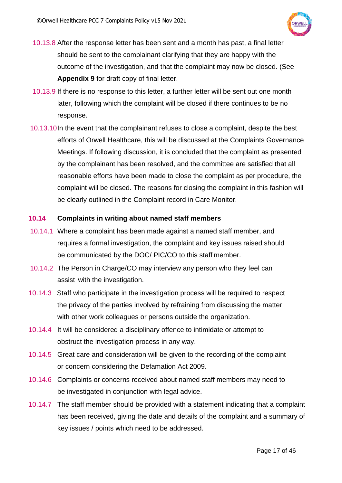

- 10.13.8 After the response letter has been sent and a month has past, a final letter should be sent to the complainant clarifying that they are happy with the outcome of the investigation, and that the complaint may now be closed. (See **Appendix 9** for draft copy of final letter.
- 10.13.9 If there is no response to this letter, a further letter will be sent out one month later, following which the complaint will be closed if there continues to be no response.
- 10.13.10In the event that the complainant refuses to close a complaint, despite the best efforts of Orwell Healthcare, this will be discussed at the Complaints Governance Meetings. If following discussion, it is concluded that the complaint as presented by the complainant has been resolved, and the committee are satisfied that all reasonable efforts have been made to close the complaint as per procedure, the complaint will be closed. The reasons for closing the complaint in this fashion will be clearly outlined in the Complaint record in Care Monitor.

### **10.14 Complaints in writing about named staff members**

- 10.14.1 Where a complaint has been made against a named staff member, and requires a formal investigation, the complaint and key issues raised should be communicated by the DOC/ PIC/CO to this staff member.
- 10.14.2 The Person in Charge/CO may interview any person who they feel can assist with the investigation.
- 10.14.3 Staff who participate in the investigation process will be required to respect the privacy of the parties involved by refraining from discussing the matter with other work colleagues or persons outside the organization.
- 10.14.4 It will be considered a disciplinary offence to intimidate or attempt to obstruct the investigation process in any way.
- 10.14.5 Great care and consideration will be given to the recording of the complaint or concern considering the Defamation Act 2009.
- 10.14.6 Complaints or concerns received about named staff members may need to be investigated in conjunction with legal advice.
- 10.14.7 The staff member should be provided with a statement indicating that a complaint has been received, giving the date and details of the complaint and a summary of key issues / points which need to be addressed.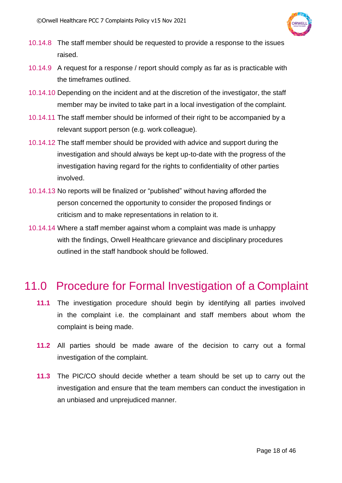

- 10.14.8 The staff member should be requested to provide a response to the issues raised.
- 10.14.9 A request for a response / report should comply as far as is practicable with the timeframes outlined.
- 10.14.10 Depending on the incident and at the discretion of the investigator, the staff member may be invited to take part in a local investigation of the complaint.
- 10.14.11 The staff member should be informed of their right to be accompanied by a relevant support person (e.g. work colleague).
- 10.14.12 The staff member should be provided with advice and support during the investigation and should always be kept up-to-date with the progress of the investigation having regard for the rights to confidentiality of other parties involved.
- 10.14.13 No reports will be finalized or "published" without having afforded the person concerned the opportunity to consider the proposed findings or criticism and to make representations in relation to it.
- 10.14.14 Where a staff member against whom a complaint was made is unhappy with the findings, Orwell Healthcare grievance and disciplinary procedures outlined in the staff handbook should be followed.

## <span id="page-17-0"></span>11.0 Procedure for Formal Investigation of a Complaint

- **11.1** The investigation procedure should begin by identifying all parties involved in the complaint i.e. the complainant and staff members about whom the complaint is being made.
- **11.2** All parties should be made aware of the decision to carry out a formal investigation of the complaint.
- **11.3** The PIC/CO should decide whether a team should be set up to carry out the investigation and ensure that the team members can conduct the investigation in an unbiased and unprejudiced manner.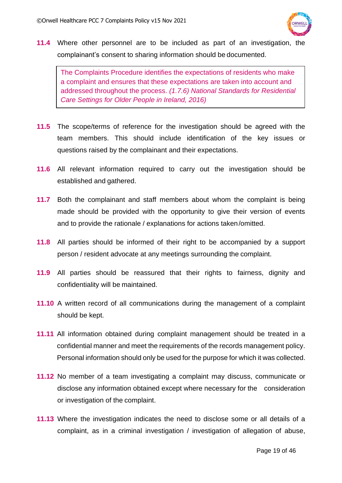

**11.4** Where other personnel are to be included as part of an investigation, the complainant's consent to sharing information should be documented.

The Complaints Procedure identifies the expectations of residents who make a complaint and ensures that these expectations are taken into account and addressed throughout the process. *(1.7.6) National Standards for Residential Care Settings for Older People in Ireland, 2016)*

- **11.5** The scope/terms of reference for the investigation should be agreed with the team members. This should include identification of the key issues or questions raised by the complainant and their expectations.
- **11.6** All relevant information required to carry out the investigation should be established and gathered.
- **11.7** Both the complainant and staff members about whom the complaint is being made should be provided with the opportunity to give their version of events and to provide the rationale / explanations for actions taken/omitted.
- **11.8** All parties should be informed of their right to be accompanied by a support person / resident advocate at any meetings surrounding the complaint.
- **11.9** All parties should be reassured that their rights to fairness, dignity and confidentiality will be maintained.
- **11.10** A written record of all communications during the management of a complaint should be kept.
- **11.11** All information obtained during complaint management should be treated in a confidential manner and meet the requirements of the records management policy. Personal information should only be used for the purpose for which it was collected.
- **11.12** No member of a team investigating a complaint may discuss, communicate or disclose any information obtained except where necessary for the consideration or investigation of the complaint.
- **11.13** Where the investigation indicates the need to disclose some or all details of a complaint, as in a criminal investigation / investigation of allegation of abuse,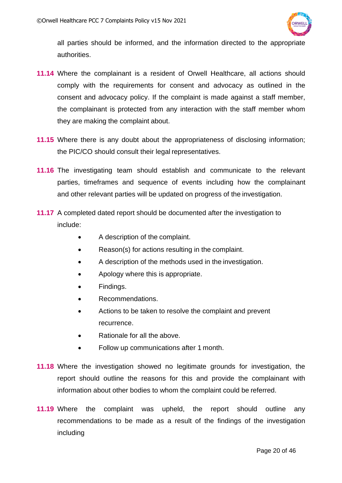

all parties should be informed, and the information directed to the appropriate authorities.

- **11.14** Where the complainant is a resident of Orwell Healthcare, all actions should comply with the requirements for consent and advocacy as outlined in the consent and advocacy policy. If the complaint is made against a staff member, the complainant is protected from any interaction with the staff member whom they are making the complaint about.
- **11.15** Where there is any doubt about the appropriateness of disclosing information; the PIC/CO should consult their legal representatives.
- **11.16** The investigating team should establish and communicate to the relevant parties, timeframes and sequence of events including how the complainant and other relevant parties will be updated on progress of the investigation.
- **11.17** A completed dated report should be documented after the investigation to include:
	- A description of the complaint.
	- Reason(s) for actions resulting in the complaint.
	- A description of the methods used in the investigation.
	- Apology where this is appropriate.
	- Findings.
	- Recommendations.
	- Actions to be taken to resolve the complaint and prevent recurrence.
	- Rationale for all the above.
	- Follow up communications after 1 month.
- **11.18** Where the investigation showed no legitimate grounds for investigation, the report should outline the reasons for this and provide the complainant with information about other bodies to whom the complaint could be referred.
- **11.19** Where the complaint was upheld, the report should outline any recommendations to be made as a result of the findings of the investigation including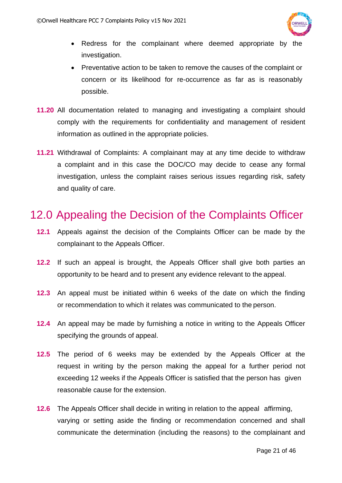

- Redress for the complainant where deemed appropriate by the investigation.
- Preventative action to be taken to remove the causes of the complaint or concern or its likelihood for re-occurrence as far as is reasonably possible.
- **11.20** All documentation related to managing and investigating a complaint should comply with the requirements for confidentiality and management of resident information as outlined in the appropriate policies.
- **11.21** Withdrawal of Complaints: A complainant may at any time decide to withdraw a complaint and in this case the DOC/CO may decide to cease any formal investigation, unless the complaint raises serious issues regarding risk, safety and quality of care.

## <span id="page-20-0"></span>12.0 Appealing the Decision of the Complaints Officer

- **12.1** Appeals against the decision of the Complaints Officer can be made by the complainant to the Appeals Officer.
- **12.2** If such an appeal is brought, the Appeals Officer shall give both parties an opportunity to be heard and to present any evidence relevant to the appeal.
- **12.3** An appeal must be initiated within 6 weeks of the date on which the finding or recommendation to which it relates was communicated to the person.
- **12.4** An appeal may be made by furnishing a notice in writing to the Appeals Officer specifying the grounds of appeal.
- **12.5** The period of 6 weeks may be extended by the Appeals Officer at the request in writing by the person making the appeal for a further period not exceeding 12 weeks if the Appeals Officer is satisfied that the person has given reasonable cause for the extension.
- **12.6** The Appeals Officer shall decide in writing in relation to the appeal affirming, varying or setting aside the finding or recommendation concerned and shall communicate the determination (including the reasons) to the complainant and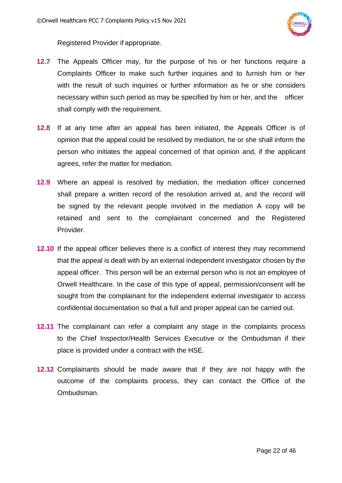

Registered Provider if appropriate.

- **12.7** The Appeals Officer may, for the purpose of his or her functions require a Complaints Officer to make such further inquiries and to furnish him or her with the result of such inquiries or further information as he or she considers necessary within such period as may be specified by him or her, and the officer shall comply with the requirement.
- **12.8** If at any time after an appeal has been initiated, the Appeals Officer is of opinion that the appeal could be resolved by mediation, he or she shall inform the person who initiates the appeal concerned of that opinion and, if the applicant agrees, refer the matter for mediation.
- **12.9** Where an appeal is resolved by mediation, the mediation officer concerned shall prepare a written record of the resolution arrived at, and the record will be signed by the relevant people involved in the mediation A copy will be retained and sent to the complainant concerned and the Registered Provider.
- **12.10** If the appeal officer believes there is a conflict of interest they may recommend that the appeal is dealt with by an external independent investigator chosen by the appeal officer. This person will be an external person who is not an employee of Orwell Healthcare. In the case of this type of appeal, permission/consent will be sought from the complainant for the independent external investigator to access confidential documentation so that a full and proper appeal can be carried out.
- **12.11** The complainant can refer a complaint any stage in the complaints process to the Chief Inspector/Health Services Executive or the Ombudsman if their place is provided under a contract with the HSE.
- **12.12** Complainants should be made aware that if they are not happy with the outcome of the complaints process, they can contact the Office of the Ombudsman.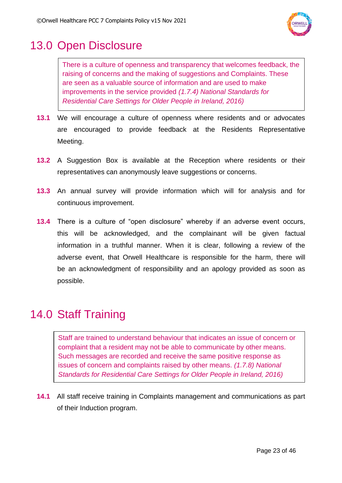

## <span id="page-22-0"></span>13.0 Open Disclosure

There is a culture of openness and transparency that welcomes feedback, the raising of concerns and the making of suggestions and Complaints. These are seen as a valuable source of information and are used to make improvements in the service provided *(1.7.4) National Standards for Residential Care Settings for Older People in Ireland, 2016)*

- **13.1** We will encourage a culture of openness where residents and or advocates are encouraged to provide feedback at the Residents Representative Meeting.
- **13.2** A Suggestion Box is available at the Reception where residents or their representatives can anonymously leave suggestions or concerns.
- **13.3** An annual survey will provide information which will for analysis and for continuous improvement.
- **13.4** There is a culture of "open disclosure" whereby if an adverse event occurs, this will be acknowledged, and the complainant will be given factual information in a truthful manner. When it is clear, following a review of the adverse event, that Orwell Healthcare is responsible for the harm, there will be an acknowledgment of responsibility and an apology provided as soon as possible.

# <span id="page-22-1"></span>14.0 Staff Training

Staff are trained to understand behaviour that indicates an issue of concern or complaint that a resident may not be able to communicate by other means. Such messages are recorded and receive the same positive response as issues of concern and complaints raised by other means. *(1.7.8) National Standards for Residential Care Settings for Older People in Ireland, 2016)*

**14.1** All staff receive training in Complaints management and communications as part of their Induction program.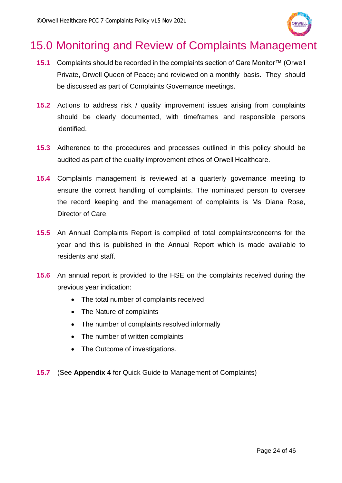

## <span id="page-23-0"></span>15.0 Monitoring and Review of Complaints Management

- **15.1** Complaints should be recorded in the complaints section of Care Monitor™ (Orwell Private, Orwell Queen of Peace) and reviewed on a monthly basis. They should be discussed as part of Complaints Governance meetings.
- **15.2** Actions to address risk / quality improvement issues arising from complaints should be clearly documented, with timeframes and responsible persons identified.
- **15.3** Adherence to the procedures and processes outlined in this policy should be audited as part of the quality improvement ethos of Orwell Healthcare.
- **15.4** Complaints management is reviewed at a quarterly governance meeting to ensure the correct handling of complaints. The nominated person to oversee the record keeping and the management of complaints is Ms Diana Rose, Director of Care.
- **15.5** An Annual Complaints Report is compiled of total complaints/concerns for the year and this is published in the Annual Report which is made available to residents and staff.
- **15.6** An annual report is provided to the HSE on the complaints received during the previous year indication:
	- The total number of complaints received
	- The Nature of complaints
	- The number of complaints resolved informally
	- The number of written complaints
	- The Outcome of investigations.
- **15.7** (See **Appendix 4** for Quick Guide to Management of Complaints)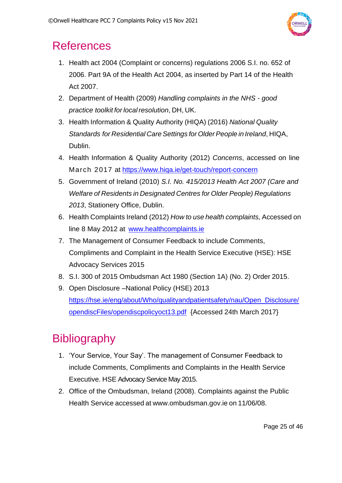

## <span id="page-24-0"></span>**References**

- 1. Health act 2004 (Complaint or concerns) regulations 2006 S.I. no. 652 of 2006. Part 9A of the Health Act 2004, as inserted by Part 14 of the Health Act 2007.
- 2. Department of Health (2009) *Handling complaints in the NHS - good practice toolkit for localresolution*, DH, UK.
- 3. Health Information & Quality Authority (HIQA) (2016) *National Quality Standards for Residential CareSettings for OlderPeople in Ireland*, HIQA, Dublin.
- 4. Health Information & Quality Authority (2012) *Concerns*, accessed on line March 2017 at<https://www.hiqa.ie/get-touch/report-concern>
- 5. Government of Ireland (2010) *S.I. No. 415/2013 Health Act 2007 (Care and Welfare of Residents in Designated Centres for Older People) Regulations 2013*, Stationery Office, Dublin.
- 6. Health Complaints Ireland (2012) *How to use health complaints,* Accessed on line 8 May 2012 at [www.healthcomplaints.ie](http://www.healthcomplaints.ie/)
- 7. The Management of Consumer Feedback to include Comments, Compliments and Complaint in the Health Service Executive (HSE): HSE Advocacy Services 2015
- 8. S.I. 300 of 2015 Ombudsman Act 1980 (Section 1A) (No. 2) Order 2015.
- 9. Open Disclosure –National Policy (HSE) 2013 [https://hse.ie/eng/about/Who/qualityandpatientsafety/nau/Open\\_Disclosure/](https://hse.ie/eng/about/Who/qualityandpatientsafety/nau/Open_Disclosure/opendiscFiles/opendiscpolicyoct13.pdf) [opendiscFiles/opendiscpolicyoct13.pdf](https://hse.ie/eng/about/Who/qualityandpatientsafety/nau/Open_Disclosure/opendiscFiles/opendiscpolicyoct13.pdf) {Accessed 24th March 2017}

# <span id="page-24-1"></span>**Bibliography**

- 1. 'Your Service, Your Say'. The management of Consumer Feedback to include Comments, Compliments and Complaints in the Health Service Executive. HSE Advocacy Service May 2015.
- 2. Office of the Ombudsman, Ireland (2008). Complaints against the Public Health Service accessed at [www.ombudsman.gov.ie](http://www.ombudsman.gov.ie/) on 11/06/08.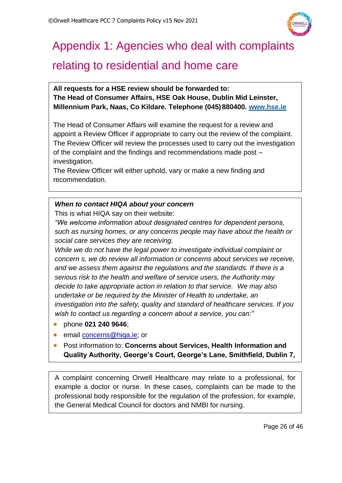

# <span id="page-25-0"></span>Appendix 1: Agencies who deal with complaints

## relating to residential and home care

**All requests for a HSE review should be forwarded to: The Head of Consumer Affairs, HSE Oak House, Dublin Mid Leinster, Millennium Park, Naas, Co Kildare. Telephone (045)880400. [www.hse.ie](http://www.hse.ie/)**

The Head of Consumer Affairs will examine the request for a review and appoint a Review Officer if appropriate to carry out the review of the complaint. The Review Officer will review the processes used to carry out the investigation of the complaint and the findings and recommendations made post – investigation.

The Review Officer will either uphold, vary or make a new finding and recommendation.

### *When to contact HIQA about your concern*

This is what HIQA say on their website:

*"We welcome information about designated centres for dependent persons, such as nursing homes, or any concerns people may have about the health or social care services they are receiving.*

*While we do not have the legal power to investigate individual complaint or concern s, we do review all information or concerns about services we receive, and we assess them against the regulations and the standards. If there is a serious risk to the health and welfare of service users, the Authority may decide to take appropriate action in relation to that service. We may also undertake or be required by the Minister of Health to undertake, an investigation into the safety, quality and standard of healthcare services. If you wish to contact us regarding a concern about a service, you can:"*

- phone **021 240 9646**;
- email [concerns@hiqa.ie;](mailto:concerns@hiqa.ie) or
- Post information to: **Concerns about Services, Health Information and Quality Authority, George's Court, George's Lane, Smithfield, Dublin 7,**

A complaint concerning Orwell Healthcare may relate to a professional, for example a doctor or nurse. In these cases, complaints can be made to the professional body responsible for the regulation of the profession, for example, the General Medical Council for doctors and NMBI for nursing.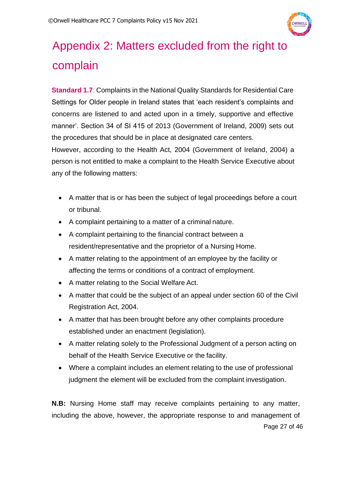

# <span id="page-26-0"></span>Appendix 2: Matters excluded from the right to complain

**Standard 1.7**: Complaints in the National Quality Standards for Residential Care Settings for Older people in Ireland states that 'each resident's complaints and concerns are listened to and acted upon in a timely, supportive and effective manner'. Section 34 of SI 415 of 2013 (Government of Ireland, 2009) sets out the procedures that should be in place at designated care centers.

However, according to the Health Act, 2004 (Government of Ireland, 2004) a person is not entitled to make a complaint to the Health Service Executive about any of the following matters:

- A matter that is or has been the subject of legal proceedings before a court or tribunal.
- A complaint pertaining to a matter of a criminal nature.
- A complaint pertaining to the financial contract between a resident/representative and the proprietor of a Nursing Home.
- A matter relating to the appointment of an employee by the facility or affecting the terms or conditions of a contract of employment.
- A matter relating to the Social Welfare Act.
- A matter that could be the subject of an appeal under section 60 of the Civil Registration Act, 2004.
- A matter that has been brought before any other complaints procedure established under an enactment (legislation).
- A matter relating solely to the Professional Judgment of a person acting on behalf of the Health Service Executive or the facility.
- Where a complaint includes an element relating to the use of professional judgment the element will be excluded from the complaint investigation.

Page 27 of 46 **N.B:** Nursing Home staff may receive complaints pertaining to any matter, including the above, however, the appropriate response to and management of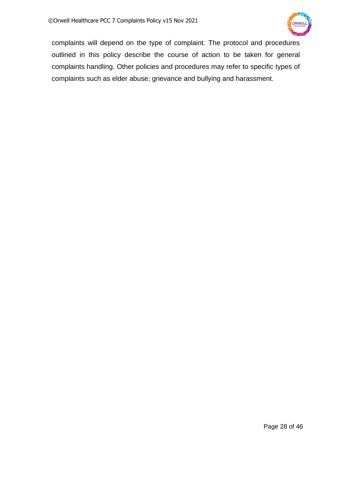

complaints will depend on the type of complaint. The protocol and procedures outlined in this policy describe the course of action to be taken for general complaints handling. Other policies and procedures may refer to specific types of complaints such as elder abuse; grievance and bullying and harassment.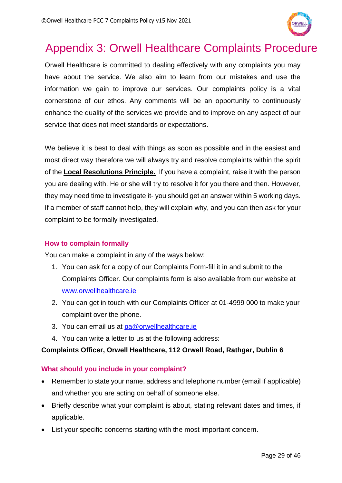

## <span id="page-28-0"></span>Appendix 3: Orwell Healthcare Complaints Procedure

Orwell Healthcare is committed to dealing effectively with any complaints you may have about the service. We also aim to learn from our mistakes and use the information we gain to improve our services. Our complaints policy is a vital cornerstone of our ethos. Any comments will be an opportunity to continuously enhance the quality of the services we provide and to improve on any aspect of our service that does not meet standards or expectations.

We believe it is best to deal with things as soon as possible and in the easiest and most direct way therefore we will always try and resolve complaints within the spirit of the **Local Resolutions Principle.** If you have a complaint, raise it with the person you are dealing with. He or she will try to resolve it for you there and then. However, they may need time to investigate it- you should get an answer within 5 working days. If a member of staff cannot help, they will explain why, and you can then ask for your complaint to be formally investigated.

### **How to complain formally**

You can make a complaint in any of the ways below:

- 1. You can ask for a copy of our Complaints Form-fill it in and submit to the Complaints Officer. Our complaints form is also available from our website at [www.orwellhealthcare.ie](http://www.orwellhealthcare.ie/)
- 2. You can get in touch with our Complaints Officer at 01-4999 000 to make your complaint over the phone.
- 3. You can email us at [pa@orwellhealthcare.ie](mailto:pa@orwellhealthcare.ie)
- 4. You can write a letter to us at the following address:

### **Complaints Officer, Orwell Healthcare, 112 Orwell Road, Rathgar, Dublin 6**

### **What should you include in your complaint?**

- Remember to state your name, address and telephone number (email if applicable) and whether you are acting on behalf of someone else.
- Briefly describe what your complaint is about, stating relevant dates and times, if applicable.
- List your specific concerns starting with the most important concern.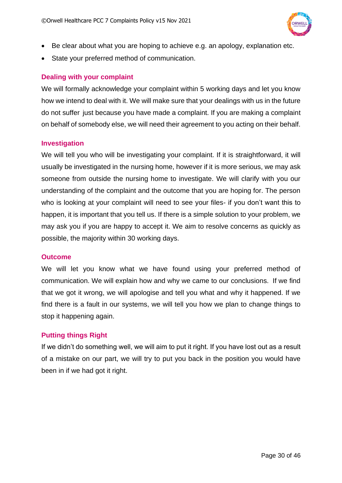

- Be clear about what you are hoping to achieve e.g. an apology, explanation etc.
- State your preferred method of communication.

### **Dealing with your complaint**

We will formally acknowledge your complaint within 5 working days and let you know how we intend to deal with it. We will make sure that your dealings with us in the future do not suffer just because you have made a complaint. If you are making a complaint on behalf of somebody else, we will need their agreement to you acting on their behalf.

### **Investigation**

We will tell you who will be investigating your complaint. If it is straightforward, it will usually be investigated in the nursing home, however if it is more serious, we may ask someone from outside the nursing home to investigate. We will clarify with you our understanding of the complaint and the outcome that you are hoping for. The person who is looking at your complaint will need to see your files- if you don't want this to happen, it is important that you tell us. If there is a simple solution to your problem, we may ask you if you are happy to accept it. We aim to resolve concerns as quickly as possible, the majority within 30 working days.

### **Outcome**

We will let you know what we have found using your preferred method of communication. We will explain how and why we came to our conclusions. If we find that we got it wrong, we will apologise and tell you what and why it happened. If we find there is a fault in our systems, we will tell you how we plan to change things to stop it happening again.

### **Putting things Right**

If we didn't do something well, we will aim to put it right. If you have lost out as a result of a mistake on our part, we will try to put you back in the position you would have been in if we had got it right.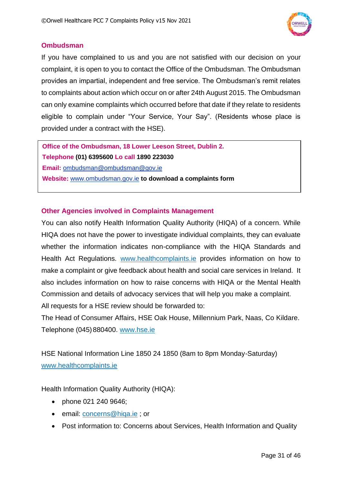

### **Ombudsman**

If you have complained to us and you are not satisfied with our decision on your complaint, it is open to you to contact the Office of the Ombudsman. The Ombudsman provides an impartial, independent and free service. The Ombudsman's remit relates to complaints about action which occur on or after 24th August 2015. The Ombudsman can only examine complaints which occurred before that date if they relate to residents eligible to complain under "Your Service, Your Say". (Residents whose place is provided under a contract with the HSE).

**Office of the Ombudsman, 18 Lower Leeson Street, Dublin 2. Telephone (01) 6395600 Lo call 1890 223030 Email:** [ombudsman@ombudsman@gov.ie](mailto:ombudsman@ombudsman@gov.ie) **Website:** [www.ombudsman.gov.ie](http://www.ombudsman.gov.ie/) **to download a complaints form**

### **Other Agencies involved in Complaints Management**

You can also notify Health Information Quality Authority (HIQA) of a concern. While HIQA does not have the power to investigate individual complaints, they can evaluate whether the information indicates non-compliance with the HIQA Standards and Health Act Regulations. [www.healthcomplaints.ie](http://www.healthcomplaints.ie/) provides information on how to make a complaint or give feedback about health and social care services in Ireland. It also includes information on how to raise concerns with HIQA or the Mental Health Commission and details of advocacy services that will help you make a complaint. All requests for a HSE review should be forwarded to:

The Head of Consumer Affairs, HSE Oak House, Millennium Park, Naas, Co Kildare. Telephone (045)880400. [www.hse.ie](http://www.hse.ie/)

HSE National Information Line 1850 24 1850 (8am to 8pm Monday-Saturday) [www.healthcomplaints.ie](http://www.healthcomplaints.ie/)

Health Information Quality Authority (HIQA):

- phone 021 240 9646;
- email: *[concerns@hiqa.ie](mailto:concerns@hiqa.ie)* ; or
- Post information to: Concerns about Services, Health Information and Quality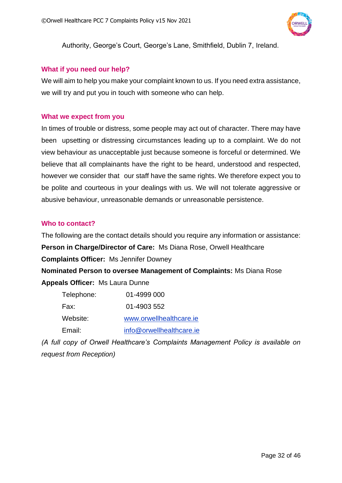

Authority, George's Court, George's Lane, Smithfield, Dublin 7, Ireland.

### **What if you need our help?**

We will aim to help you make your complaint known to us. If you need extra assistance, we will try and put you in touch with someone who can help.

#### **What we expect from you**

In times of trouble or distress, some people may act out of character. There may have been upsetting or distressing circumstances leading up to a complaint. We do not view behaviour as unacceptable just because someone is forceful or determined. We believe that all complainants have the right to be heard, understood and respected, however we consider that our staff have the same rights. We therefore expect you to be polite and courteous in your dealings with us. We will not tolerate aggressive or abusive behaviour, unreasonable demands or unreasonable persistence.

### **Who to contact?**

The following are the contact details should you require any information or assistance: **Person in Charge/Director of Care:** Ms Diana Rose, Orwell Healthcare **Complaints Officer:** Ms Jennifer Downey

**Nominated Person to oversee Management of Complaints:** Ms Diana Rose **Appeals Officer:** Ms Laura Dunne

| Telephone: | 01-4999 000              |
|------------|--------------------------|
| Fax:       | 01-4903 552              |
| Website:   | www.orwellhealthcare.ie  |
| Email:     | info@orwellhealthcare.ie |

*(A full copy of Orwell Healthcare's Complaints Management Policy is available on request from Reception)*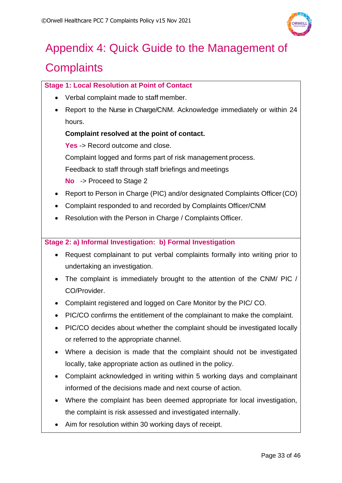

# <span id="page-32-0"></span>Appendix 4: Quick Guide to the Management of **Complaints**

### **Stage 1: Local Resolution at Point of Contact**

- Verbal complaint made to staff member.
- Report to the Nurse in Charge/CNM. Acknowledge immediately or within 24 hours.

### **Complaint resolved at the point of contact.**

Yes -> Record outcome and close.

Complaint logged and forms part of risk management process.

Feedback to staff through staff briefings and meetings

**No** -> Proceed to Stage 2

- Report to Person in Charge (PIC) and/or designated Complaints Officer (CO)
- Complaint responded to and recorded by Complaints Officer/CNM
- Resolution with the Person in Charge / Complaints Officer.

### **Stage 2: a) Informal Investigation: b) Formal Investigation**

- Request complainant to put verbal complaints formally into writing prior to undertaking an investigation.
- The complaint is immediately brought to the attention of the CNM/ PIC / CO/Provider.
- Complaint registered and logged on Care Monitor by the PIC/ CO.
- PIC/CO confirms the entitlement of the complainant to make the complaint.
- PIC/CO decides about whether the complaint should be investigated locally or referred to the appropriate channel.
- Where a decision is made that the complaint should not be investigated locally, take appropriate action as outlined in the policy.
- Complaint acknowledged in writing within 5 working days and complainant informed of the decisions made and next course of action.
- Where the complaint has been deemed appropriate for local investigation, the complaint is risk assessed and investigated internally.
- Aim for resolution within 30 working days of receipt.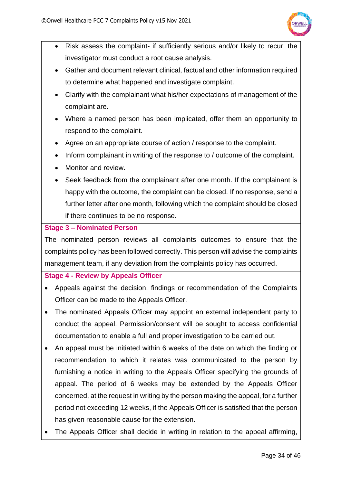

- Risk assess the complaint- if sufficiently serious and/or likely to recur; the investigator must conduct a root cause analysis.
- Gather and document relevant clinical, factual and other information required to determine what happened and investigate complaint.
- Clarify with the complainant what his/her expectations of management of the complaint are.
- Where a named person has been implicated, offer them an opportunity to respond to the complaint.
- Agree on an appropriate course of action / response to the complaint.
- Inform complainant in writing of the response to / outcome of the complaint.
- Monitor and review.
- Seek feedback from the complainant after one month. If the complainant is happy with the outcome, the complaint can be closed. If no response, send a further letter after one month, following which the complaint should be closed if there continues to be no response.

### **Stage 3 – Nominated Person**

The nominated person reviews all complaints outcomes to ensure that the complaints policy has been followed correctly. This person will advise the complaints management team, if any deviation from the complaints policy has occurred.

### **Stage 4 - Review by Appeals Officer**

- Appeals against the decision, findings or recommendation of the Complaints Officer can be made to the Appeals Officer.
- The nominated Appeals Officer may appoint an external independent party to conduct the appeal. Permission/consent will be sought to access confidential documentation to enable a full and proper investigation to be carried out.
- An appeal must be initiated within 6 weeks of the date on which the finding or recommendation to which it relates was communicated to the person by furnishing a notice in writing to the Appeals Officer specifying the grounds of appeal. The period of 6 weeks may be extended by the Appeals Officer concerned, at the request in writing by the person making the appeal, for a further period not exceeding 12 weeks, if the Appeals Officer is satisfied that the person has given reasonable cause for the extension.
- The Appeals Officer shall decide in writing in relation to the appeal affirming,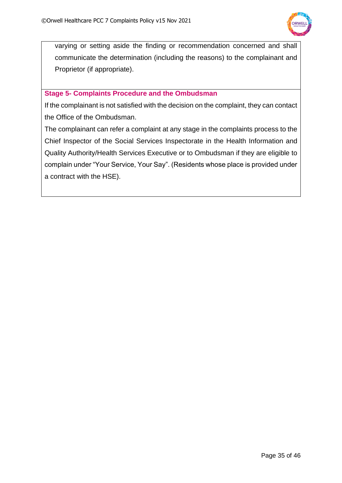

varying or setting aside the finding or recommendation concerned and shall communicate the determination (including the reasons) to the complainant and Proprietor (if appropriate).

### **Stage 5- Complaints Procedure and the Ombudsman**

If the complainant is not satisfied with the decision on the complaint, they can contact the Office of the Ombudsman.

The complainant can refer a complaint at any stage in the complaints process to the Chief Inspector of the Social Services Inspectorate in the Health Information and Quality Authority/Health Services Executive or to Ombudsman if they are eligible to complain under "Your Service, Your Say". (Residents whose place is provided under a contract with the HSE).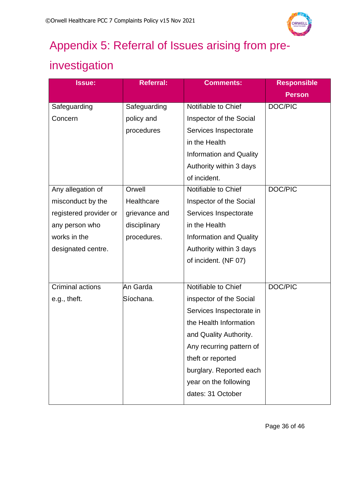

# <span id="page-35-0"></span>Appendix 5: Referral of Issues arising from pre-

# investigation

| <b>Issue:</b>          | <b>Referral:</b> | <b>Comments:</b>               | <b>Responsible</b> |
|------------------------|------------------|--------------------------------|--------------------|
|                        |                  |                                | <b>Person</b>      |
| Safeguarding           | Safeguarding     | Notifiable to Chief            | DOC/PIC            |
| Concern                | policy and       | Inspector of the Social        |                    |
|                        | procedures       | Services Inspectorate          |                    |
|                        |                  | in the Health                  |                    |
|                        |                  | <b>Information and Quality</b> |                    |
|                        |                  | Authority within 3 days        |                    |
|                        |                  | of incident.                   |                    |
| Any allegation of      | Orwell           | Notifiable to Chief            | DOC/PIC            |
| misconduct by the      | Healthcare       | Inspector of the Social        |                    |
| registered provider or | grievance and    | Services Inspectorate          |                    |
| any person who         | disciplinary     | in the Health                  |                    |
| works in the           | procedures.      | <b>Information and Quality</b> |                    |
| designated centre.     |                  | Authority within 3 days        |                    |
|                        |                  | of incident. (NF 07)           |                    |
|                        |                  |                                |                    |
| Criminal actions       | An Garda         | Notifiable to Chief            | DOC/PIC            |
| e.g., theft.           | Síochana.        | inspector of the Social        |                    |
|                        |                  | Services Inspectorate in       |                    |
|                        |                  | the Health Information         |                    |
|                        |                  | and Quality Authority.         |                    |
|                        |                  | Any recurring pattern of       |                    |
|                        |                  | theft or reported              |                    |
|                        |                  | burglary. Reported each        |                    |
|                        |                  | year on the following          |                    |
|                        |                  | dates: 31 October              |                    |
|                        |                  |                                |                    |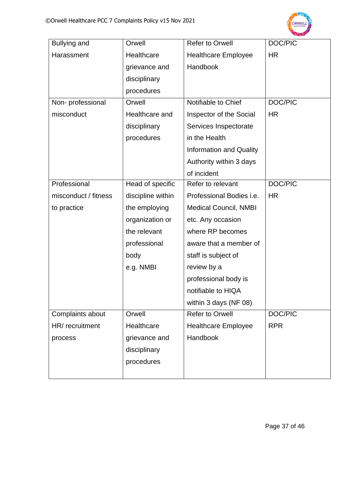

| Bullying and         | Orwell            | <b>Refer to Orwell</b>         | DOC/PIC    |
|----------------------|-------------------|--------------------------------|------------|
| Harassment           | Healthcare        | <b>Healthcare Employee</b>     | HR         |
|                      | grievance and     | Handbook                       |            |
|                      | disciplinary      |                                |            |
|                      | procedures        |                                |            |
| Non-professional     | Orwell            | Notifiable to Chief            | DOC/PIC    |
| misconduct           | Healthcare and    | Inspector of the Social        | <b>HR</b>  |
|                      | disciplinary      | Services Inspectorate          |            |
|                      | procedures        | in the Health                  |            |
|                      |                   | <b>Information and Quality</b> |            |
|                      |                   | Authority within 3 days        |            |
|                      |                   | of incident                    |            |
| Professional         | Head of specific  | Refer to relevant              | DOC/PIC    |
| misconduct / fitness | discipline within | Professional Bodies i.e.       | <b>HR</b>  |
| to practice          | the employing     | <b>Medical Council, NMBI</b>   |            |
|                      | organization or   | etc. Any occasion              |            |
|                      | the relevant      | where RP becomes               |            |
|                      | professional      | aware that a member of         |            |
|                      | body              | staff is subject of            |            |
|                      | e.g. NMBI         | review by a                    |            |
|                      |                   | professional body is           |            |
|                      |                   | notifiable to HIQA             |            |
|                      |                   | within 3 days (NF 08)          |            |
| Complaints about     | Orwell            | <b>Refer to Orwell</b>         | DOC/PIC    |
| HR/recruitment       | Healthcare        | <b>Healthcare Employee</b>     | <b>RPR</b> |
| process              | grievance and     | Handbook                       |            |
|                      | disciplinary      |                                |            |
|                      | procedures        |                                |            |
|                      |                   |                                |            |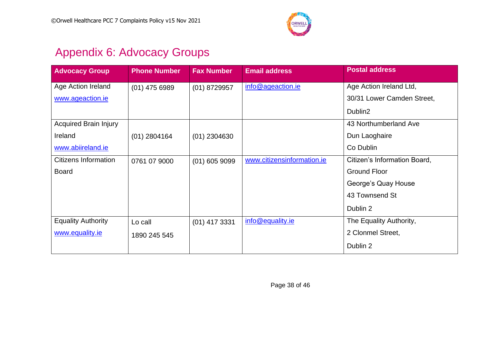

# Appendix 6: Advocacy Groups

<span id="page-37-0"></span>

| <b>Advocacy Group</b>        | <b>Phone Number</b> | <b>Fax Number</b> | <b>Email address</b>       | <b>Postal address</b>        |
|------------------------------|---------------------|-------------------|----------------------------|------------------------------|
| Age Action Ireland           | $(01)$ 475 6989     | $(01)$ 8729957    | info@ageaction.ie          | Age Action Ireland Ltd,      |
| www.ageaction.ie             |                     |                   |                            | 30/31 Lower Camden Street,   |
|                              |                     |                   |                            | Dublin2                      |
| <b>Acquired Brain Injury</b> |                     |                   |                            | 43 Northumberland Ave        |
| Ireland                      | $(01)$ 2804164      | $(01)$ 2304630    |                            | Dun Laoghaire                |
| www.abiireland.ie            |                     |                   |                            | Co Dublin                    |
| <b>Citizens Information</b>  | 0761 07 9000        | $(01)$ 605 9099   | www.citizensinformation.ie | Citizen's Information Board, |
| <b>Board</b>                 |                     |                   |                            | <b>Ground Floor</b>          |
|                              |                     |                   |                            | George's Quay House          |
|                              |                     |                   |                            | 43 Townsend St               |
|                              |                     |                   |                            | Dublin 2                     |
| <b>Equality Authority</b>    | Lo call             | $(01)$ 417 3331   | info@equality.ie           | The Equality Authority,      |
| www.equality.ie              | 1890 245 545        |                   |                            | 2 Clonmel Street,            |
|                              |                     |                   |                            | Dublin 2                     |

Page 38 of 46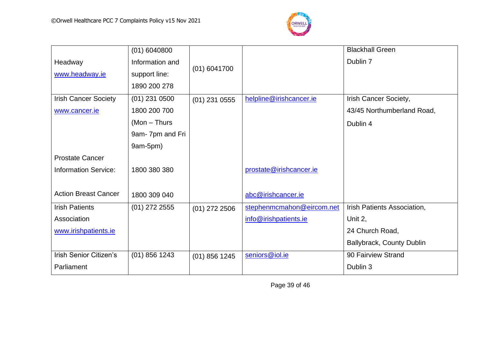

|                               | $(01)$ 6040800  |                 |                           | <b>Blackhall Green</b>      |
|-------------------------------|-----------------|-----------------|---------------------------|-----------------------------|
| Headway                       | Information and |                 |                           | Dublin 7                    |
| www.headway.ie                | support line:   | $(01)$ 6041700  |                           |                             |
|                               | 1890 200 278    |                 |                           |                             |
| <b>Irish Cancer Society</b>   | $(01)$ 231 0500 | $(01)$ 231 0555 | helpline@irishcancer.ie   | Irish Cancer Society,       |
| www.cancer.ie                 | 1800 200 700    |                 |                           | 43/45 Northumberland Road,  |
|                               | $(Mon - Thus)$  |                 |                           | Dublin 4                    |
|                               | 9am-7pm and Fri |                 |                           |                             |
|                               | 9am-5pm)        |                 |                           |                             |
| <b>Prostate Cancer</b>        |                 |                 |                           |                             |
| <b>Information Service:</b>   | 1800 380 380    |                 | prostate@irishcancer.ie   |                             |
|                               |                 |                 |                           |                             |
| <b>Action Breast Cancer</b>   | 1800 309 040    |                 | abc@irishcancer.ie        |                             |
| <b>Irish Patients</b>         | $(01)$ 272 2555 | $(01)$ 272 2506 | stephenmcmahon@eircom.net | Irish Patients Association, |
| Association                   |                 |                 | info@irishpatients.ie     | Unit 2,                     |
| www.irishpatients.ie          |                 |                 |                           | 24 Church Road,             |
|                               |                 |                 |                           | Ballybrack, County Dublin   |
| <b>Irish Senior Citizen's</b> | $(01)$ 856 1243 | $(01)$ 856 1245 | seniors@iol.ie            | 90 Fairview Strand          |
| Parliament                    |                 |                 |                           | Dublin 3                    |

Page 39 of 46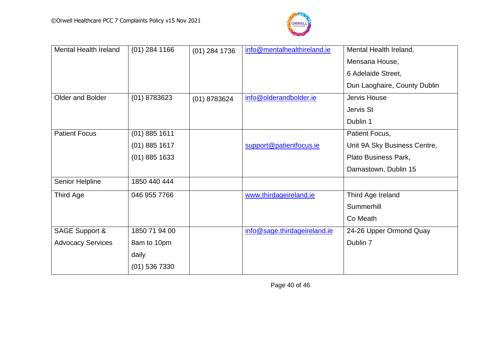

| <b>Mental Health Ireland</b> | $(01)$ 284 1166 | $(01)$ 284 1736 | info@mentalhealthireland.ie  | Mental Health Ireland,       |
|------------------------------|-----------------|-----------------|------------------------------|------------------------------|
|                              |                 |                 |                              | Mensana House,               |
|                              |                 |                 |                              | 6 Adelaide Street,           |
|                              |                 |                 |                              | Dun Laoghaire, County Dublin |
| Older and Bolder             | $(01)$ 8783623  | $(01)$ 8783624  | info@olderandbolder.ie       | Jervis House                 |
|                              |                 |                 |                              | Jervis St                    |
|                              |                 |                 |                              | Dublin 1                     |
| <b>Patient Focus</b>         | $(01)$ 885 1611 |                 |                              | Patient Focus,               |
|                              | $(01)$ 885 1617 |                 | support@patientfocus.ie      | Unit 9A Sky Business Centre, |
|                              | $(01)$ 885 1633 |                 |                              | Plato Business Park,         |
|                              |                 |                 |                              | Damastown, Dublin 15         |
| Senior Helpline              | 1850 440 444    |                 |                              |                              |
| Third Age                    | 046 955 7766    |                 | www.thirdageireland.ie       | Third Age Ireland            |
|                              |                 |                 |                              | Summerhill                   |
|                              |                 |                 |                              | Co Meath                     |
| <b>SAGE Support &amp;</b>    | 1850 71 94 00   |                 | info@sage.thirdageireland.ie | 24-26 Upper Ormond Quay      |
| <b>Advocacy Services</b>     | 8am to 10pm     |                 |                              | Dublin 7                     |
|                              | daily           |                 |                              |                              |
|                              | $(01)$ 536 7330 |                 |                              |                              |

Page 40 of 46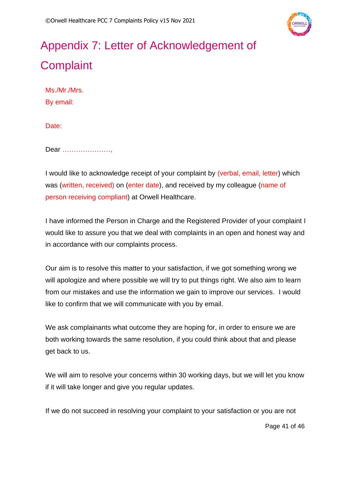

# <span id="page-40-0"></span>Appendix 7: Letter of Acknowledgement of **Complaint**

Ms./Mr./Mrs. By email:

Date:

Dear …………………,

I would like to acknowledge receipt of your complaint by (verbal, email, letter) which was (written, received) on (enter date), and received by my colleague (name of person receiving compliant) at Orwell Healthcare.

I have informed the Person in Charge and the Registered Provider of your complaint I would like to assure you that we deal with complaints in an open and honest way and in accordance with our complaints process.

Our aim is to resolve this matter to your satisfaction, if we got something wrong we will apologize and where possible we will try to put things right. We also aim to learn from our mistakes and use the information we gain to improve our services. I would like to confirm that we will communicate with you by email.

We ask complainants what outcome they are hoping for, in order to ensure we are both working towards the same resolution, if you could think about that and please get back to us.

We will aim to resolve your concerns within 30 working days, but we will let you know if it will take longer and give you regular updates.

If we do not succeed in resolving your complaint to your satisfaction or you are not

Page 41 of 46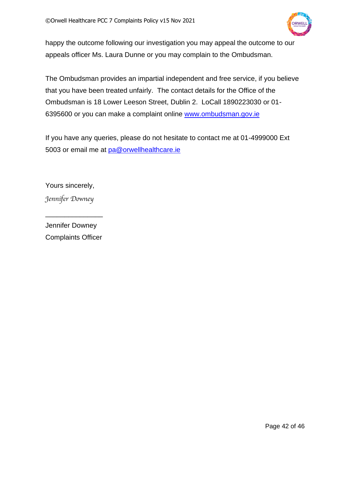

happy the outcome following our investigation you may appeal the outcome to our appeals officer Ms. Laura Dunne or you may complain to the Ombudsman.

The Ombudsman provides an impartial independent and free service, if you believe that you have been treated unfairly. The contact details for the Office of the Ombudsman is 18 Lower Leeson Street, Dublin 2. LoCall 1890223030 or 01 6395600 or you can make a complaint online [www.ombudsman.gov.ie](http://www.ombudsman.gov.ie/)

If you have any queries, please do not hesitate to contact me at 01-4999000 Ext 5003 or email me at [pa@orwellhealthcare.ie](mailto:pa@orwellhealthcare.ie)

Yours sincerely, *Jennifer Downey*

Jennifer Downey Complaints Officer

\_\_\_\_\_\_\_\_\_\_\_\_\_\_\_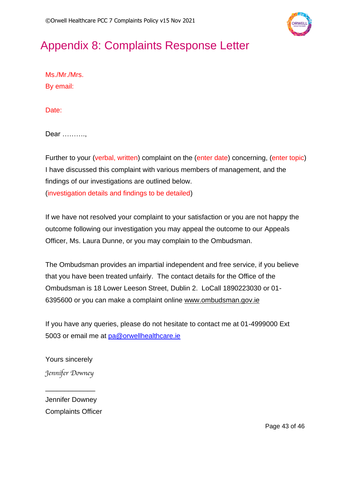

# <span id="page-42-0"></span>Appendix 8: Complaints Response Letter

Ms./Mr./Mrs. By email:

Date:

Dear ……….,

Further to your (verbal, written) complaint on the (enter date) concerning, (enter topic) I have discussed this complaint with various members of management, and the findings of our investigations are outlined below. (investigation details and findings to be detailed)

If we have not resolved your complaint to your satisfaction or you are not happy the outcome following our investigation you may appeal the outcome to our Appeals Officer, Ms. Laura Dunne, or you may complain to the Ombudsman.

The Ombudsman provides an impartial independent and free service, if you believe that you have been treated unfairly. The contact details for the Office of the Ombudsman is 18 Lower Leeson Street, Dublin 2. LoCall 1890223030 or 01- 6395600 or you can make a complaint online [www.ombudsman.gov.ie](http://www.ombudsman.gov.ie/)

If you have any queries, please do not hesitate to contact me at 01-4999000 Ext 5003 or email me at [pa@orwellhealthcare.ie](mailto:pa@orwellhealthcare.ie)

Yours sincerely *Jennifer Downey*

\_\_\_\_\_\_\_\_\_\_\_\_\_

Jennifer Downey Complaints Officer

Page 43 of 46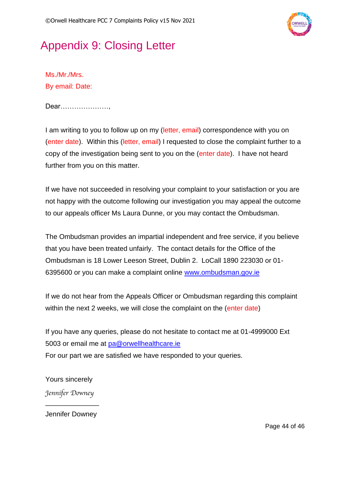

# <span id="page-43-0"></span>Appendix 9: Closing Letter

Ms./Mr./Mrs. By email: Date:

Dear…………………,

I am writing to you to follow up on my (letter, email) correspondence with you on (enter date). Within this (letter, email) I requested to close the complaint further to a copy of the investigation being sent to you on the (enter date). I have not heard further from you on this matter.

If we have not succeeded in resolving your complaint to your satisfaction or you are not happy with the outcome following our investigation you may appeal the outcome to our appeals officer Ms Laura Dunne, or you may contact the Ombudsman.

The Ombudsman provides an impartial independent and free service, if you believe that you have been treated unfairly. The contact details for the Office of the Ombudsman is 18 Lower Leeson Street, Dublin 2. LoCall 1890 223030 or 01- 6395600 or you can make a complaint online [www.ombudsman.gov.ie](http://www.ombudsman.gov.ie/)

If we do not hear from the Appeals Officer or Ombudsman regarding this complaint within the next 2 weeks, we will close the complaint on the (enter date)

If you have any queries, please do not hesitate to contact me at 01-4999000 Ext 5003 or email me at [pa@orwellhealthcare.ie](mailto:pa@orwellhealthcare.ie) For our part we are satisfied we have responded to your queries.

Yours sincerely *Jennifer Downey*

Jennifer Downey

\_\_\_\_\_\_\_\_\_\_\_\_\_\_

Page 44 of 46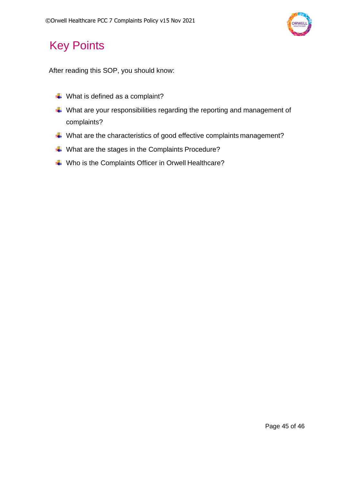

# <span id="page-44-0"></span>Key Points

After reading this SOP, you should know:

- $\ddot{*}$  What is defined as a complaint?
- What are your responsibilities regarding the reporting and management of complaints?
- What are the characteristics of good effective complaints management?
- ↓ What are the stages in the Complaints Procedure?
- Who is the Complaints Officer in Orwell Healthcare?